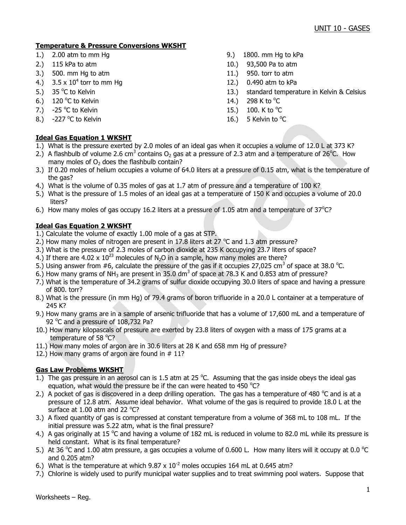# **Temperature & Pressure Conversions WKSHT**

- 
- 
- 3.) 500. mm Hg to atm 11.) 950. torr to atm
- 4.)  $3.5 \times 10^4$  torr to mm Hg
- 5.)  $35^{\circ}$ C to Kelvin
- 6.) 120 °C to Kelvin  $14.$ ) 298 K to  $^{\circ}$
- 7.)  $-25$  °C to Kelvin
- 8.)  $-227$  °C to Kelvin

# **Ideal Gas Equation 1 WKSHT**

- 1.) 2.00 atm to mm Hg 9.) 1800. mm Hg to kPa
- 2.) 115 kPa to atm 10.) 93,500 Pa to atm
	-
	- 12.) 0.490 atm to kPa
	- 13.) standard temperature in Kelvin & Celsius
	- 298 K to  $^{\circ}$ C
	- C to Kelvin  $15.$ )  $100.$  K to  $^{\circ}$ C
	- C to Kelvin  $\sim$  2008  $\sim$  16.) 5 Kelvin to  $\rm ^oC$
- 1.) What is the pressure exerted by 2.0 moles of an ideal gas when it occupies a volume of 12.0 L at 373 K?
- 2.) A flashbulb of volume 2.6 cm<sup>3</sup> contains O<sub>2</sub> gas at a pressure of 2.3 atm and a temperature of 26<sup>o</sup>C. How many moles of  $O<sub>2</sub>$  does the flashbulb contain?
- 3.) If 0.20 moles of helium occupies a volume of 64.0 liters at a pressure of 0.15 atm, what is the temperature of the gas?
- 4.) What is the volume of 0.35 moles of gas at 1.7 atm of pressure and a temperature of 100 K?
- 5.) What is the pressure of 1.5 moles of an ideal gas at a temperature of 150 K and occupies a volume of 20.0 liters?
- 6.) How many moles of gas occupy 16.2 liters at a pressure of 1.05 atm and a temperature of  $37^{\circ}$ C?

# **Ideal Gas Equation 2 WKSHT**

- 1.) Calculate the volume of exactly 1.00 mole of a gas at STP.
- 2.) How many moles of nitrogen are present in 17.8 liters at 27  $^{\circ}$ C and 1.3 atm pressure?
- 3.) What is the pressure of 2.3 moles of carbon dioxide at 235 K occupying 23.7 liters of space?
- 4.) If there are 4.02 x  $10^{23}$  molecules of N<sub>2</sub>O in a sample, how many moles are there?
- 5.) Using answer from #6, calculate the pressure of the gas if it occupies 27,025 cm<sup>3</sup> of space at 38.0 °C.
- 6.) How many grams of NH<sub>3</sub> are present in 35.0 dm<sup>3</sup> of space at 78.3 K and 0.853 atm of pressure?
- 7.) What is the temperature of 34.2 grams of sulfur dioxide occupying 30.0 liters of space and having a pressure of 800. torr?
- 8.) What is the pressure (in mm Hg) of 79.4 grams of boron trifluoride in a 20.0 L container at a temperature of 245 K?
- 9.) How many grams are in a sample of arsenic trifluoride that has a volume of 17,600 mL and a temperature of 92 °C and a pressure of 108,732 Pa?
- 10.) How many kilopascals of pressure are exerted by 23.8 liters of oxygen with a mass of 175 grams at a temperature of 58 °C?
- 11.) How many moles of argon are in 30.6 liters at 28 K and 658 mm Hg of pressure?
- 12.) How many grams of argon are found in # 11?

# **Gas Law Problems WKSHT**

- 1.) The gas pressure in an aerosol can is 1.5 atm at 25  $^{\circ}$ C. Assuming that the gas inside obeys the ideal gas equation, what would the pressure be if the can were heated to 450  $^{\circ}$ C?
- 2.) A pocket of gas is discovered in a deep drilling operation. The gas has a temperature of 480  $^{\circ}$ C and is at a pressure of 12.8 atm. Assume ideal behavior. What volume of the gas is required to provide 18.0 L at the surface at  $1.00$  atm and 22  $^{\circ}$ C?
- 3.) A fixed quantity of gas is compressed at constant temperature from a volume of 368 mL to 108 mL. If the initial pressure was 5.22 atm, what is the final pressure?
- 4.) A gas originally at 15 °C and having a volume of 182 mL is reduced in volume to 82.0 mL while its pressure is held constant. What is its final temperature?
- 5.) At 36 °C and 1.00 atm pressure, a gas occupies a volume of 0.600 L. How many liters will it occupy at 0.0 °C and 0.205 atm?
- 6.) What is the temperature at which  $9.87 \times 10^{-2}$  moles occupies 164 mL at 0.645 atm?
- 7.) Chlorine is widely used to purify municipal water supplies and to treat swimming pool waters. Suppose that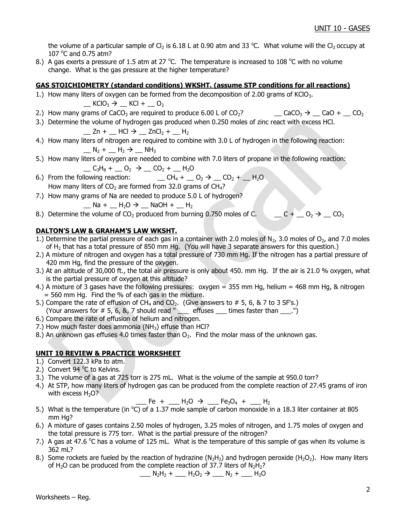the volume of a particular sample of Cl<sub>2</sub> is 6.18 L at 0.90 atm and 33 °C. What volume will the Cl<sub>2</sub> occupy at 107 $\degree$ C and 0.75 atm?

8.) A gas exerts a pressure of 1.5 atm at 27 °C. The temperature is increased to 108 °C with no volume change. What is the gas pressure at the higher temperature?

## **GAS STOICHIOMETRY (standard conditions) WKSHT. (assume STP conditions for all reactions)**

1.) How many liters of oxygen can be formed from the decomposition of 2.00 grams of KClO<sub>3</sub>.

 $\underline{\phantom{a}}$  KClO<sub>3</sub>  $\rightarrow$   $\underline{\phantom{a}}$  KCl +  $\underline{\phantom{a}}$  O<sub>2</sub>

- 2.) How many grams of CaCO<sub>3</sub> are required to produce 6.00 L of CO<sub>2</sub>?  $\qquad \qquad \qquad$  CaCO<sub>3</sub>  $\rightarrow \qquad$  CaO +  $\qquad$  CO<sub>2</sub>
- 3.) Determine the volume of hydrogen gas produced when 0.250 moles of zinc react with excess HCl.

$$
\_ Zn + \_ HCl \rightarrow \_ ZnCl_2 + \_ H_2
$$

- 4.) How many liters of nitrogen are required to combine with 3.0 L of hydrogen in the following reaction:  $N_2$  +  $H_2$   $\rightarrow$  NH<sub>3</sub>
- 5.) How many liters of oxygen are needed to combine with 7.0 liters of propane in the following reaction:  $C_3H_8 + C_2 \rightarrow C_2 + H_2O$
- 6.) From the following reaction:  $\qquad \qquad \qquad \_ \qquad CH_4 + \_ \qquad \qquad O_2 \rightarrow \_ \qquad \text{CO}_2 + \_ \qquad \text{H}_2\text{O}$ How many liters of  $CO<sub>2</sub>$  are formed from 32.0 grams of  $CH<sub>4</sub>$ ?

7.) How many grams of Na are needed to produce 5.0 L of hydrogen?

$$
\_\_Na + \_\_H_2O \rightarrow \_\_NaOH + \_\_H_2
$$

8.) Determine the volume of CO<sub>2</sub> produced from burning 0.750 moles of C.  $C_1 \cup C_2 \rightarrow C_2$ 

## **DALTON'S LAW & GRAHAM'S LAW WKSHT.**

- 1.) Determine the partial pressure of each gas in a container with 2.0 moles of N<sub>2</sub>, 3.0 moles of O<sub>2</sub>, and 7.0 moles of H<sup>2</sup> that has a total pressure of 850 mm Hg. (You will have 3 separate answers for this question.)
- 2.) A mixture of nitrogen and oxygen has a total pressure of 730 mm Hg. If the nitrogen has a partial pressure of 420 mm Hg, find the pressure of the oxygen.
- 3.) At an altitude of 30,000 ft., the total air pressure is only about 450. mm Hg. If the air is 21.0 % oxygen, what is the partial pressure of oxygen at this altitude?
- 4.) A mixture of 3 gases have the following pressures:  $oxygen = 355$  mm Hg, helium = 468 mm Hg, & nitrogen  $= 560$  mm Hg. Find the % of each gas in the mixture.
- 5.) Compare the rate of effusion of CH<sub>4</sub> and CO<sub>2</sub>. (Give answers to  $# 5, 6, 8, 7$  to 3 SF's.) (Your answers for  $# 5, 6, 8, 7$  should read " $\_\_$  effuses  $\_\_$  times faster than  $\_\_$ .")
- 6.) Compare the rate of effusion of helium and nitrogen.
- 7.) How much faster does ammonia ( $NH<sub>3</sub>$ ) effuse than HCl?
- 8.) An unknown gas effuses 4.0 times faster than  $O<sub>2</sub>$ . Find the molar mass of the unknown gas.

## **UNIT 10 REVIEW & PRACTICE WORKSHEET**

- 1.) Convert 122.3 kPa to atm.
- 2.) Convert 94 °C to Kelvins.
- 3.) The volume of a gas at 725 torr is 275 mL. What is the volume of the sample at 950.0 torr?
- 4.) At STP, how many liters of hydrogen gas can be produced from the complete reaction of 27.45 grams of iron with excess  $H_2O$ ?

 $E = Fe + \_$  H<sub>2</sub>O  $\rightarrow \_$  Fe<sub>3</sub>O<sub>4</sub> +  $\_$  H<sub>2</sub>

- 5.) What is the temperature (in  $^{\circ}$ C) of a 1.37 mole sample of carbon monoxide in a 18.3 liter container at 805 mm Hg?
- 6.) A mixture of gases contains 2.50 moles of hydrogen, 3.25 moles of nitrogen, and 1.75 moles of oxygen and the total pressure is 775 torr. What is the partial pressure of the nitrogen?
- 7.) A gas at 47.6  $\degree$ C has a volume of 125 mL. What is the temperature of this sample of gas when its volume is 362 mL?
- 8.) Some rockets are fueled by the reaction of hydrazine (N<sub>2</sub>H<sub>2</sub>) and hydrogen peroxide (H<sub>2</sub>O<sub>2</sub>). How many liters of H<sub>2</sub>O can be produced from the complete reaction of 37.7 liters of N<sub>2</sub>H<sub>2</sub>?

$$
N_2H_2 + N_2O_2 \rightarrow N_2 + N_2O_2
$$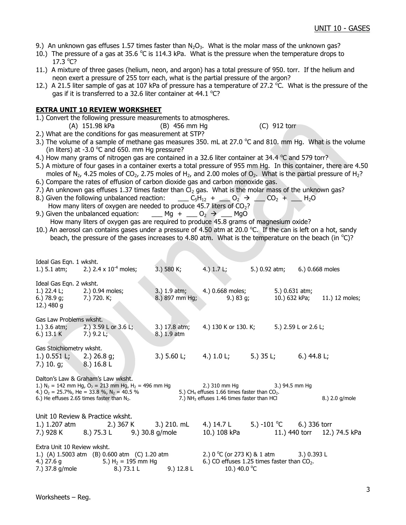- 9.) An unknown gas effuses 1.57 times faster than  $N_2O_3$ . What is the molar mass of the unknown gas?
- 10.) The pressure of a gas at 35.6  $\degree$ C is 114.3 kPa. What is the pressure when the temperature drops to  $17.3 °C?$
- 11.) A mixture of three gases (helium, neon, and argon) has a total pressure of 950. torr. If the helium and neon exert a pressure of 255 torr each, what is the partial pressure of the argon?
- 12.) A 21.5 liter sample of gas at 107 kPa of pressure has a temperature of 27.2  $\degree$ C. What is the pressure of the gas if it is transferred to a 32.6 liter container at  $44.1 \text{ °C}$ ?

### **EXTRA UNIT 10 REVIEW WORKSHEET**

- 1.) Convert the following pressure measurements to atmospheres.
	- (A) 151.98 kPa (B) 456 mm Hg (C) 912 torr
- 2.) What are the conditions for gas measurement at STP?

- 3.) The volume of a sample of methane gas measures 350. mL at 27.0  $^{\circ}$ C and 810. mm Hg. What is the volume (in liters) at -3.0  $^{\circ}$ C and 650. mm Hg pressure?
- 4.) How many grams of nitrogen gas are contained in a 32.6 liter container at 34.4  $^{\circ}$ C and 579 torr?
- 5.) A mixture of four gases in a container exerts a total pressure of 955 mm Hg. In this container, there are 4.50 moles of N<sub>2</sub>, 4.25 moles of CO<sub>2</sub>, 2.75 moles of H<sub>2</sub>, and 2.00 moles of O<sub>2</sub>. What is the partial pressure of H<sub>2</sub>?
- 6.) Compare the rates of effusion of carbon dioxide gas and carbon monoxide gas.
- 7.) An unknown gas effuses 1.37 times faster than  $Cl<sub>2</sub>$  gas. What is the molar mass of the unknown gas?
- 8.) Given the following unbalanced reaction: \_\_\_ C<sub>5</sub>H<sub>12</sub> + \_\_ O<sub>2</sub>  $\rightarrow$  \_\_ CO<sub>2</sub> + \_\_ H<sub>2</sub>O How many liters of oxygen are needed to produce  $45.7$  liters of  $CO<sub>2</sub>$ ?
- 9.) Given the unbalanced equation: \_\_\_\_ Mg + \_\_\_ O<sub>2</sub>  $\rightarrow$  \_\_\_ MgO
- How many liters of oxygen gas are required to produce 45.8 grams of magnesium oxide?
- 10.) An aerosol can contains gases under a pressure of 4.50 atm at 20.0 °C. If the can is left on a hot, sandy beach, the pressure of the gases increases to 4.80 atm. What is the temperature on the beach (in  $^{\circ}$ C)?

| Ideal Gas Eqn. 1 wksht.                                                                                                                                                                                                                                                                                                                                                                  | 1.) 5.1 atm; 2.) 2.4 x $10^{-4}$ moles;                                                                                                             | 3.) 580 K;                     | 4.) $1.7 L;$                                                                             | 5.) 0.92 atm;                             | 6.) 0.668 moles                                   |
|------------------------------------------------------------------------------------------------------------------------------------------------------------------------------------------------------------------------------------------------------------------------------------------------------------------------------------------------------------------------------------------|-----------------------------------------------------------------------------------------------------------------------------------------------------|--------------------------------|------------------------------------------------------------------------------------------|-------------------------------------------|---------------------------------------------------|
| Ideal Gas Eqn. 2 wksht.<br>1.) 22.4 $Li$<br>6.) $78.9 g$ ;<br>12.) 480 g                                                                                                                                                                                                                                                                                                                 | 2.) 0.94 moles;<br>7.) 720. K;                                                                                                                      | 3.) 1.9 atm;<br>8.) 897 mm Hg; | 4.) 0.668 moles;<br>9.) 83 g;                                                            |                                           | 5.) 0.631 atm;<br>10.) 632 kPa;<br>11.) 12 moles; |
| Gas Law Problems wksht.<br>6.) $13.1 \text{ K}$ 7.) $9.2 \text{ L}$ ;                                                                                                                                                                                                                                                                                                                    | 1.) 3.6 atm; 2.) 3.59 L or 3.6 L;                                                                                                                   | 3.) 17.8 atm;<br>8.) 1.9 atm   |                                                                                          | 4.) 130 K or 130. K; 5.) 2.59 L or 2.6 L; |                                                   |
| Gas Stoichiometry wksht.<br>1.) $0.551$ L; 2.) $26.8$ g;<br>7.) 10. g; 8.) 16.8 L                                                                                                                                                                                                                                                                                                        |                                                                                                                                                     |                                | 3.) $5.60 \text{ L}$ ; 4.) $1.0 \text{ L}$ ; 5.) $35 \text{ L}$ ; 6.) $44.8 \text{ L}$ ; |                                           |                                                   |
| Dalton's Law & Graham's Law wksht.<br>1.) $N_2 = 142$ mm Hg, $O_2 = 213$ mm Hg, H <sub>2</sub> = 496 mm Hg<br>2.) 310 mm Hg 3.) 94.5 mm Hg<br>5.) CH <sub>4</sub> effuses 1.66 times faster than CO <sub>2</sub> .<br>4.) $O_2$ = 25.7%, He = 33.8 %, N <sub>2</sub> = 40.5 %<br>7.) NH <sub>3</sub> effuses 1.46 times faster than HCl<br>6.) He effuses 2.65 times faster than $N_2$ . |                                                                                                                                                     |                                |                                                                                          |                                           | 8.) 2.0 g/mole                                    |
|                                                                                                                                                                                                                                                                                                                                                                                          | Unit 10 Review & Practice wksht.<br>1.) 1.207 atm 2.) 367 K 3.) 210. mL 4.) 14.7 L 5.) -101 °C 6.) 336 torr<br>7.) 928 K 8.) 75.3 L 9.) 30.8 g/mole |                                | 10.) 108 kPa                                                                             |                                           | 11.) 440 torr 12.) 74.5 kPa                       |
| Extra Unit 10 Review wksht.<br>1.) (A) 1.5003 atm (B) 0.600 atm (C) 1.20 atm 2.) 0 °C (or 273 K) & 1 atm 3.) 0.393 L<br>4.) 27.6 g<br>5.) $H_2 = 195$ mm Hg<br>7.) 37.8 g/mole 8.) 73.1 L 9.) 12.8 L                                                                                                                                                                                     |                                                                                                                                                     |                                | 6.) CO effuses 1.25 times faster than $CO2$ .<br>10.) 40.0 °C                            |                                           |                                                   |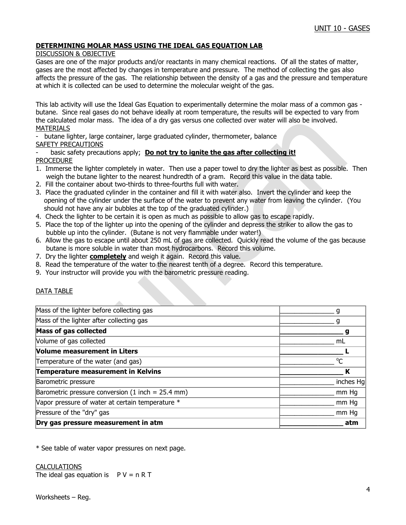### **DETERMINING MOLAR MASS USING THE IDEAL GAS EQUATION LAB**

#### DISCUSSION & OBJECTIVE

Gases are one of the major products and/or reactants in many chemical reactions. Of all the states of matter, gases are the most affected by changes in temperature and pressure. The method of collecting the gas also affects the pressure of the gas. The relationship between the density of a gas and the pressure and temperature at which it is collected can be used to determine the molecular weight of the gas.

This lab activity will use the Ideal Gas Equation to experimentally determine the molar mass of a common gas butane. Since real gases do not behave ideally at room temperature, the results will be expected to vary from the calculated molar mass. The idea of a dry gas versus one collected over water will also be involved. MATERIALS

butane lighter, large container, large graduated cylinder, thermometer, balance SAFETY PRECAUTIONS

basic safety precautions apply; **Do not try to ignite the gas after collecting it!** PROCEDURE

- 1. Immerse the lighter completely in water. Then use a paper towel to dry the lighter as best as possible. Then weigh the butane lighter to the nearest hundredth of a gram. Record this value in the data table.
- 2. Fill the container about two-thirds to three-fourths full with water.
- 3. Place the graduated cylinder in the container and fill it with water also. Invert the cylinder and keep the opening of the cylinder under the surface of the water to prevent any water from leaving the cylinder. (You should not have any air bubbles at the top of the graduated cylinder.)
- 4. Check the lighter to be certain it is open as much as possible to allow gas to escape rapidly.
- 5. Place the top of the lighter up into the opening of the cylinder and depress the striker to allow the gas to bubble up into the cylinder. (Butane is not very flammable under water!)
- 6. Allow the gas to escape until about 250 mL of gas are collected. Quickly read the volume of the gas because butane is more soluble in water than most hydrocarbons. Record this volume.
- 7. Dry the lighter **completely** and weigh it again. Record this value.
- 8. Read the temperature of the water to the nearest tenth of a degree. Record this temperature.
- 9. Your instructor will provide you with the barometric pressure reading.

#### DATA TABLE

| Dry gas pressure measurement in atm                 | atm       |
|-----------------------------------------------------|-----------|
| Pressure of the "dry" gas                           | mm Hg     |
| Vapor pressure of water at certain temperature *    | mm Hg     |
| Barometric pressure conversion (1 inch = $25.4$ mm) | mm Hq     |
| <b>Barometric pressure</b>                          | inches Hg |
| Temperature measurement in Kelvins                  |           |
| Temperature of the water (and gas)                  | $\Omega$  |
| Volume measurement in Liters                        |           |
| Volume of gas collected                             | mL        |
| <b>Mass of gas collected</b>                        |           |
| Mass of the lighter after collecting gas            |           |
| Mass of the lighter before collecting gas           |           |

\* See table of water vapor pressures on next page.

#### **CALCULATIONS**

The ideal gas equation is  $P V = n R T$